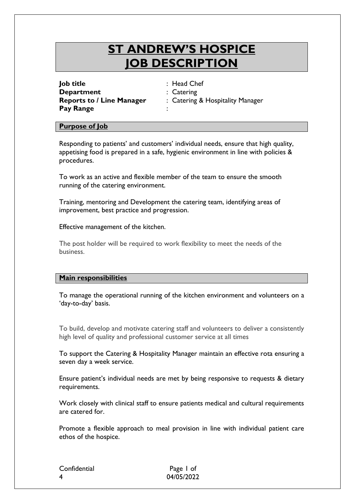# **ST ANDREW'S HOSPICE JOB DESCRIPTION**

**Job title** : Head Chef **Department** : Catering **Pay Range** :

**Reports to / Line Manager** : Catering & Hospitality Manager

#### **Purpose of Job**

Responding to patients' and customers' individual needs, ensure that high quality, appetising food is prepared in a safe, hygienic environment in line with policies & procedures.

To work as an active and flexible member of the team to ensure the smooth running of the catering environment.

Training, mentoring and Development the catering team, identifying areas of improvement, best practice and progression.

Effective management of the kitchen.

The post holder will be required to work flexibility to meet the needs of the business.

#### **Main responsibilities**

To manage the operational running of the kitchen environment and volunteers on a 'day-to-day' basis.

To build, develop and motivate catering staff and volunteers to deliver a consistently high level of quality and professional customer service at all times

To support the Catering & Hospitality Manager maintain an effective rota ensuring a seven day a week service.

Ensure patient's individual needs are met by being responsive to requests & dietary requirements.

Work closely with clinical staff to ensure patients medical and cultural requirements are catered for.

Promote a flexible approach to meal provision in line with individual patient care ethos of the hospice.

Confidential Page 1 of 4 04/05/2022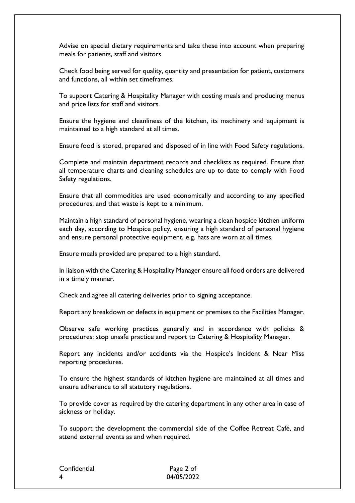Advise on special dietary requirements and take these into account when preparing meals for patients, staff and visitors.

Check food being served for quality, quantity and presentation for patient, customers and functions, all within set timeframes.

To support Catering & Hospitality Manager with costing meals and producing menus and price lists for staff and visitors.

Ensure the hygiene and cleanliness of the kitchen, its machinery and equipment is maintained to a high standard at all times.

Ensure food is stored, prepared and disposed of in line with Food Safety regulations.

Complete and maintain department records and checklists as required. Ensure that all temperature charts and cleaning schedules are up to date to comply with Food Safety regulations.

Ensure that all commodities are used economically and according to any specified procedures, and that waste is kept to a minimum.

Maintain a high standard of personal hygiene, wearing a clean hospice kitchen uniform each day, according to Hospice policy, ensuring a high standard of personal hygiene and ensure personal protective equipment, e.g. hats are worn at all times.

Ensure meals provided are prepared to a high standard.

In liaison with the Catering & Hospitality Manager ensure all food orders are delivered in a timely manner.

Check and agree all catering deliveries prior to signing acceptance.

Report any breakdown or defects in equipment or premises to the Facilities Manager.

Observe safe working practices generally and in accordance with policies & procedures: stop unsafe practice and report to Catering & Hospitality Manager.

Report any incidents and/or accidents via the Hospice's Incident & Near Miss reporting procedures.

To ensure the highest standards of kitchen hygiene are maintained at all times and ensure adherence to all statutory regulations.

To provide cover as required by the catering department in any other area in case of sickness or holiday.

To support the development the commercial side of the Coffee Retreat Café, and attend external events as and when required.

| Confidential |  |
|--------------|--|
| 4            |  |

Page 2 of 04/05/2022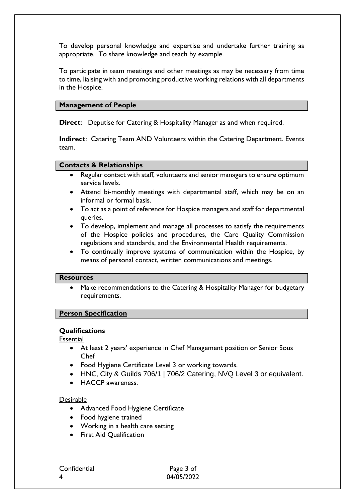To develop personal knowledge and expertise and undertake further training as appropriate. To share knowledge and teach by example.

To participate in team meetings and other meetings as may be necessary from time to time, liaising with and promoting productive working relations with all departments in the Hospice.

#### **Management of People**

**Direct**: Deputise for Catering & Hospitality Manager as and when required.

**Indirect**: Catering Team AND Volunteers within the Catering Department. Events team.

#### **Contacts & Relationships**

- Regular contact with staff, volunteers and senior managers to ensure optimum service levels.
- Attend bi-monthly meetings with departmental staff, which may be on an informal or formal basis.
- To act as a point of reference for Hospice managers and staff for departmental queries.
- To develop, implement and manage all processes to satisfy the requirements of the Hospice policies and procedures, the Care Quality Commission regulations and standards, and the Environmental Health requirements.
- To continually improve systems of communication within the Hospice, by means of personal contact, written communications and meetings.

#### **Resources**

 Make recommendations to the Catering & Hospitality Manager for budgetary requirements.

#### **Person Specification**

#### **Qualifications**

**Essential** 

- At least 2 years' experience in Chef Management position or Senior Sous Chef
- Food Hygiene Certificate Level 3 or working towards.
- HNC, City & Guilds 706/1 | 706/2 Catering, NVQ Level 3 or equivalent.
- **HACCP** awareness.

#### Desirable

- Advanced Food Hygiene Certificate
- Food hygiene trained
- Working in a health care setting
- **•** First Aid Qualification

Confidential Page 3 of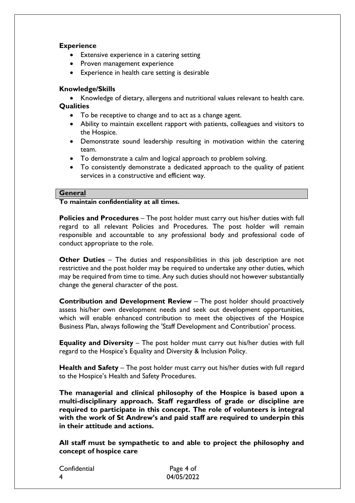## **Experience**

- Extensive experience in a catering setting
- Proven management experience
- Experience in health care setting is desirable

### **Knowledge/Skills**

- Knowledge of dietary, allergens and nutritional values relevant to health care. **Qualities**
	- To be receptive to change and to act as a change agent.
	- Ability to maintain excellent rapport with patients, colleagues and visitors to the Hospice.
	- Demonstrate sound leadership resulting in motivation within the catering team.
	- To demonstrate a calm and logical approach to problem solving.
	- To consistently demonstrate a dedicated approach to the quality of patient services in a constructive and efficient way.

#### **General**

### **To maintain confidentiality at all times.**

**Policies and Procedures** – The post holder must carry out his/her duties with full regard to all relevant Policies and Procedures. The post holder will remain responsible and accountable to any professional body and professional code of conduct appropriate to the role.

**Other Duties** – The duties and responsibilities in this job description are not restrictive and the post holder may be required to undertake any other duties, which may be required from time to time. Any such duties should not however substantially change the general character of the post.

**Contribution and Development Review** – The post holder should proactively assess his/her own development needs and seek out development opportunities, which will enable enhanced contribution to meet the objectives of the Hospice Business Plan, always following the 'Staff Development and Contribution' process.

**Equality and Diversity** – The post holder must carry out his/her duties with full regard to the Hospice's Equality and Diversity & Inclusion Policy.

**Health and Safety** – The post holder must carry out his/her duties with full regard to the Hospice's Health and Safety Procedures.

**The managerial and clinical philosophy of the Hospice is based upon a multi-disciplinary approach. Staff regardless of grade or discipline are required to participate in this concept. The role of volunteers is integral with the work of St Andrew's and paid staff are required to underpin this in their attitude and actions.**

**All staff must be sympathetic to and able to project the philosophy and concept of hospice care**

| Confidential | Page 4 of  |
|--------------|------------|
| -4           | 04/05/2022 |